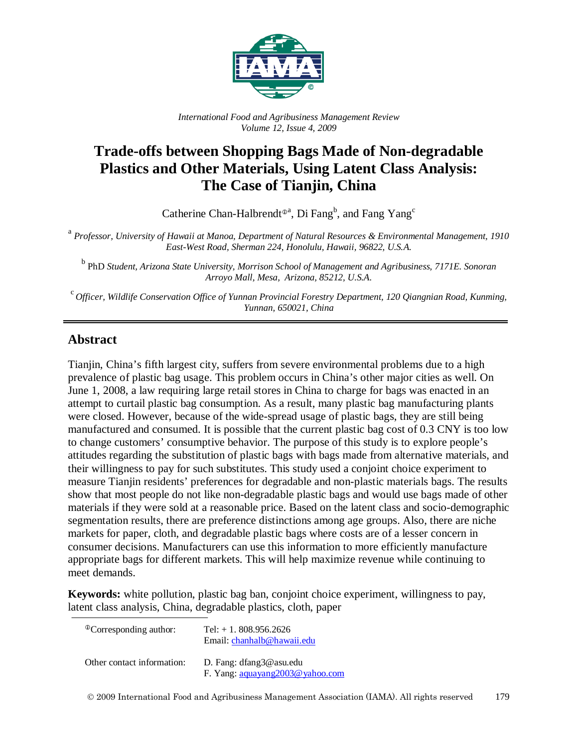

*International Food and Agribusiness Management Review Volume 12, Issue 4, 2009*

# **Trade-offs between Shopping Bags Made of Non-degradable Plastics and Other Materials, Using Latent Class Analysis: The Case of Tianjin, China**

Catherine Chan-Halbrendt<sup>®a</sup>, Di Fang<sup>b</sup>, and Fang Yang<sup>c</sup>

<sup>a</sup> *Professor, University of Hawaii at Manoa, Department of Natural Resources & Environmental Management, 1910 East-West Road, Sherman 224, Honolulu, Hawaii, 96822, U.S.A.*

<sup>b</sup> PhD *Student, Arizona State University, Morrison School of Management and Agribusiness, 7171E. Sonoran Arroyo Mall, Mesa, Arizona, 85212, U.S.A.*

<sup>c</sup>*Officer, Wildlife Conservation Office of Yunnan Provincial Forestry Department, 120 Qiangnian Road, Kunming, Yunnan, 650021, China*

### **Abstract**

Tianjin, China's fifth largest city, suffers from severe environmental problems due to a high prevalence of plastic bag usage. This problem occurs in China's other major cities as well. On June 1, 2008, a law requiring large retail stores in China to charge for bags was enacted in an attempt to curtail plastic bag consumption. As a result, many plastic bag manufacturing plants were closed. However, because of the wide-spread usage of plastic bags, they are still being manufactured and consumed. It is possible that the current plastic bag cost of 0.3 CNY is too low to change customers' consumptive behavior. The purpose of this study is to explore people's attitudes regarding the substitution of plastic bags with bags made from alternative materials, and their willingness to pay for such substitutes. This study used a conjoint choice experiment to measure Tianjin residents' preferences for degradable and non-plastic materials bags. The results show that most people do not like non-degradable plastic bags and would use bags made of other materials if they were sold at a reasonable price. Based on the latent class and socio-demographic segmentation results, there are preference distinctions among age groups. Also, there are niche markets for paper, cloth, and degradable plastic bags where costs are of a lesser concern in consumer decisions. Manufacturers can use this information to more efficiently manufacture appropriate bags for different markets. This will help maximize revenue while continuing to meet demands.

**Keywords:** white pollution, plastic bag ban, conjoint choice experiment, willingness to pay, latent class analysis, China, degradable plastics, cloth, paper

| <sup>The</sup> Corresponding author: | Tel: $+1.808.956.2626$<br>Email: chanhalb@hawaii.edu              |
|--------------------------------------|-------------------------------------------------------------------|
| Other contact information:           | D. Fang: $d$ fang $3@$ asu.edu<br>F. Yang: aquayang2003@yahoo.com |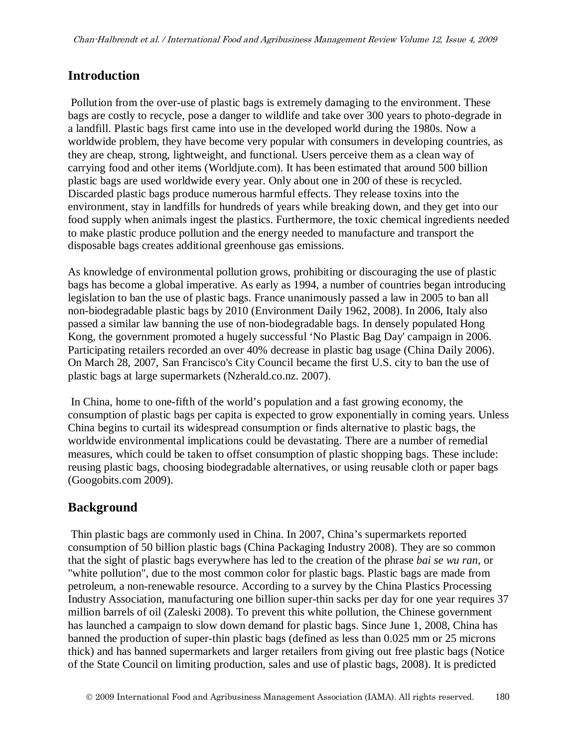## **Introduction**

Pollution from the over-use of plastic bags is extremely damaging to the environment. These bags are costly to recycle, pose a danger to wildlife and take over 300 years to photo-degrade in a landfill. Plastic bags first came into use in the developed world during the 1980s. Now a worldwide problem, they have become very popular with consumers in developing countries, as they are cheap, strong, lightweight, and functional. Users perceive them as a clean way of carrying food and other items (Worldjute.com). It has been estimated that around 500 billion plastic bags are used worldwide every year. Only about one in 200 of these is recycled. Discarded plastic bags produce numerous harmful effects. They release toxins into the environment, stay in landfills for hundreds of years while breaking down, and they get into our food supply when animals ingest the plastics. Furthermore, the toxic chemical ingredients needed to make plastic produce pollution and the energy needed to manufacture and transport the disposable bags creates additional greenhouse gas emissions.

As knowledge of environmental pollution grows, prohibiting or discouraging the use of plastic bags has become a global imperative. As early as 1994, a number of countries began introducing legislation to ban the use of plastic bags. France unanimously passed a law in 2005 to ban all non-biodegradable plastic bags by 2010 (Environment Daily 1962, 2008). In 2006, Italy also passed a similar law banning the use of non-biodegradable bags. In densely populated Hong Kong, the government promoted a hugely successful 'No Plastic Bag Day' campaign in 2006. Participating retailers recorded an over 40% decrease in plastic bag usage (China Daily 2006). On March 28, 2007, San Francisco's City Council became the first U.S. city to ban the use of plastic bags at large supermarkets (Nzherald.co.nz. 2007).

In China, home to one-fifth of the world's population and a fast growing economy, the consumption of plastic bags per capita is expected to grow exponentially in coming years. Unless China begins to curtail its widespread consumption or finds alternative to plastic bags, the worldwide environmental implications could be devastating. There are a number of remedial measures, which could be taken to offset consumption of plastic shopping bags. These include: reusing plastic bags, choosing biodegradable alternatives, or using reusable cloth or paper bags (Googobits.com 2009).

## **Background**

Thin plastic bags are commonly used in China. In 2007, China's supermarkets reported consumption of 50 billion plastic bags (China Packaging Industry 2008). They are so common that the sight of plastic bags everywhere has led to the creation of the phrase *bai se wu ran,* or "white pollution", due to the most common color for plastic bags. Plastic bags are made from petroleum, a non-renewable resource. According to a survey by the China Plastics Processing Industry Association, manufacturing one billion super-thin sacks per day for one year requires 37 million barrels of oil (Zaleski 2008). To prevent this white pollution, the Chinese government has launched a campaign to slow down demand for plastic bags. Since June 1, 2008, China has banned the production of super-thin plastic bags (defined as less than 0.025 mm or 25 microns thick) and has banned supermarkets and larger retailers from giving out free plastic bags (Notice of the State Council on limiting production, sales and use of plastic bags, 2008). It is predicted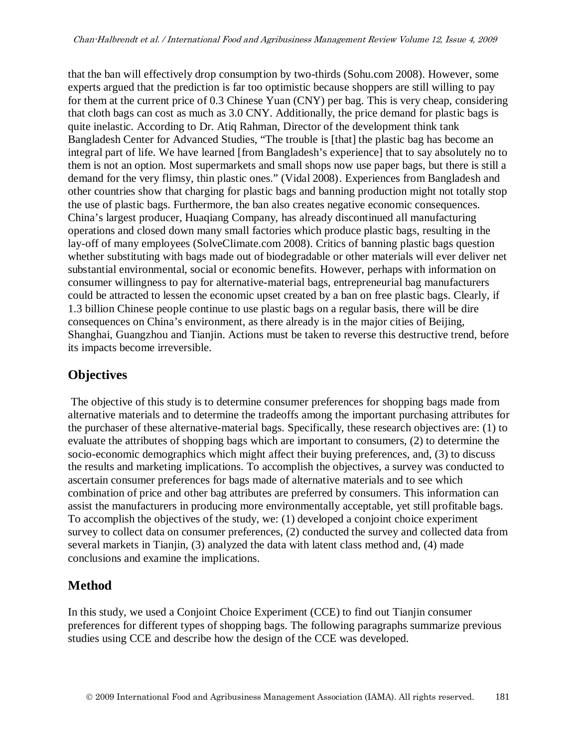that the ban will effectively drop consumption by two-thirds (Sohu.com 2008). However, some experts argued that the prediction is far too optimistic because shoppers are still willing to pay for them at the current price of 0.3 Chinese Yuan (CNY) per bag. This is very cheap, considering that cloth bags can cost as much as 3.0 CNY. Additionally, the price demand for plastic bags is quite inelastic. According to Dr. Atiq Rahman, Director of the development think tank Bangladesh Center for Advanced Studies, "The trouble is [that] the plastic bag has become an integral part of life. We have learned [from Bangladesh's experience] that to say absolutely no to them is not an option. Most supermarkets and small shops now use paper bags, but there is still a demand for the very flimsy, thin plastic ones." (Vidal 2008). Experiences from Bangladesh and other countries show that charging for plastic bags and banning production might not totally stop the use of plastic bags. Furthermore, the ban also creates negative economic consequences. China's largest producer, Huaqiang Company, has already discontinued all manufacturing operations and closed down many small factories which produce plastic bags, resulting in the lay-off of many employees (SolveClimate.com 2008). Critics of banning plastic bags question whether substituting with bags made out of biodegradable or other materials will ever deliver net substantial environmental, social or economic benefits. However, perhaps with information on consumer willingness to pay for alternative-material bags, entrepreneurial bag manufacturers could be attracted to lessen the economic upset created by a ban on free plastic bags. Clearly, if 1.3 billion Chinese people continue to use plastic bags on a regular basis, there will be dire consequences on China's environment, as there already is in the major cities of Beijing, Shanghai, Guangzhou and Tianjin. Actions must be taken to reverse this destructive trend, before its impacts become irreversible.

## **Objectives**

The objective of this study is to determine consumer preferences for shopping bags made from alternative materials and to determine the tradeoffs among the important purchasing attributes for the purchaser of these alternative-material bags. Specifically, these research objectives are: (1) to evaluate the attributes of shopping bags which are important to consumers, (2) to determine the socio-economic demographics which might affect their buying preferences, and, (3) to discuss the results and marketing implications. To accomplish the objectives, a survey was conducted to ascertain consumer preferences for bags made of alternative materials and to see which combination of price and other bag attributes are preferred by consumers. This information can assist the manufacturers in producing more environmentally acceptable, yet still profitable bags. To accomplish the objectives of the study, we: (1) developed a conjoint choice experiment survey to collect data on consumer preferences, (2) conducted the survey and collected data from several markets in Tianjin, (3) analyzed the data with latent class method and, (4) made conclusions and examine the implications.

## **Method**

In this study, we used a Conjoint Choice Experiment (CCE) to find out Tianjin consumer preferences for different types of shopping bags. The following paragraphs summarize previous studies using CCE and describe how the design of the CCE was developed.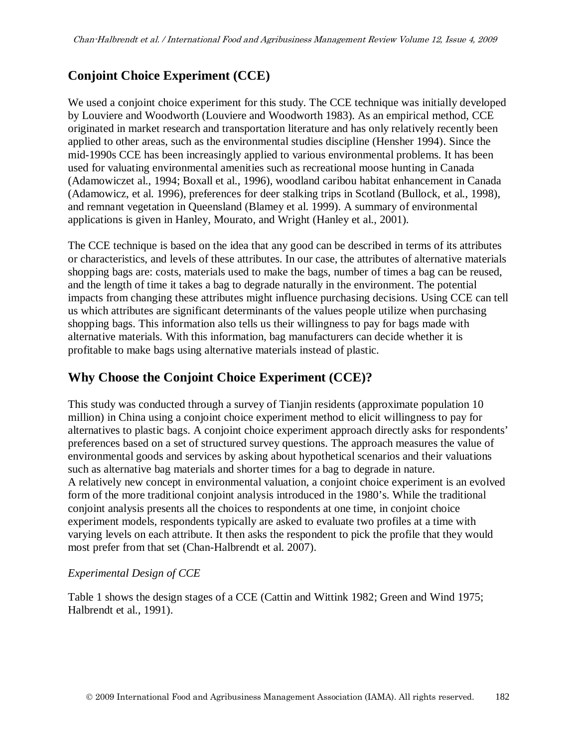# **Conjoint Choice Experiment (CCE)**

We used a conjoint choice experiment for this study. The CCE technique was initially developed by Louviere and Woodworth (Louviere and Woodworth 1983). As an empirical method, CCE originated in market research and transportation literature and has only relatively recently been applied to other areas, such as the environmental studies discipline (Hensher 1994). Since the mid-1990s CCE has been increasingly applied to various environmental problems. It has been used for valuating environmental amenities such as recreational moose hunting in Canada (Adamowiczet al., 1994; Boxall et al., 1996), woodland caribou habitat enhancement in Canada (Adamowicz, et al. 1996), preferences for deer stalking trips in Scotland (Bullock, et al., 1998), and remnant vegetation in Queensland (Blamey et al. 1999). A summary of environmental applications is given in Hanley, Mourato, and Wright (Hanley et al., 2001).

The CCE technique is based on the idea that any good can be described in terms of its attributes or characteristics, and levels of these attributes. In our case, the attributes of alternative materials shopping bags are: costs, materials used to make the bags, number of times a bag can be reused, and the length of time it takes a bag to degrade naturally in the environment. The potential impacts from changing these attributes might influence purchasing decisions. Using CCE can tell us which attributes are significant determinants of the values people utilize when purchasing shopping bags. This information also tells us their willingness to pay for bags made with alternative materials. With this information, bag manufacturers can decide whether it is profitable to make bags using alternative materials instead of plastic.

# **Why Choose the Conjoint Choice Experiment (CCE)?**

This study was conducted through a survey of Tianjin residents (approximate population 10 million) in China using a conjoint choice experiment method to elicit willingness to pay for alternatives to plastic bags. A conjoint choice experiment approach directly asks for respondents' preferences based on a set of structured survey questions. The approach measures the value of environmental goods and services by asking about hypothetical scenarios and their valuations such as alternative bag materials and shorter times for a bag to degrade in nature. A relatively new concept in environmental valuation, a conjoint choice experiment is an evolved form of the more traditional conjoint analysis introduced in the 1980's. While the traditional conjoint analysis presents all the choices to respondents at one time, in conjoint choice experiment models, respondents typically are asked to evaluate two profiles at a time with varying levels on each attribute. It then asks the respondent to pick the profile that they would most prefer from that set (Chan-Halbrendt et al. 2007).

### *Experimental Design of CCE*

Table 1 shows the design stages of a CCE (Cattin and Wittink 1982; Green and Wind 1975; Halbrendt et al., 1991).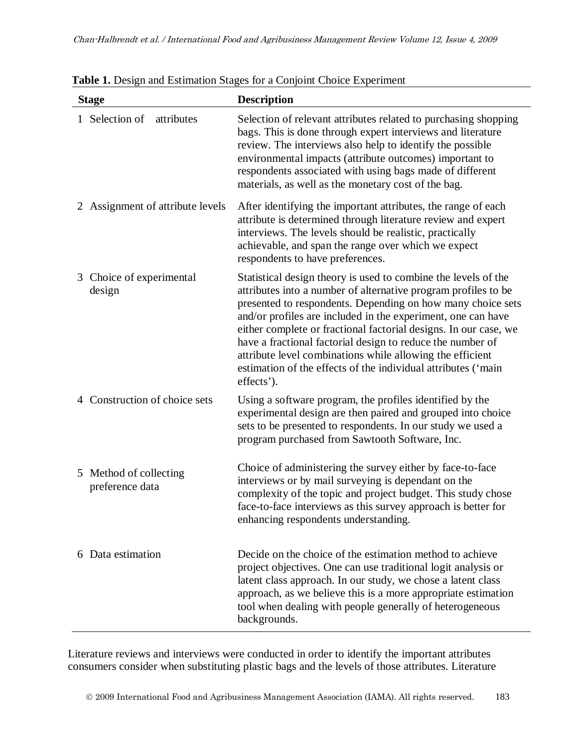| <b>Stage</b>                                       | <b>Table 1.</b> Design and Estimation brages for a Conjoint Choice Experiment<br><b>Description</b>                                                                                                                                                                                                                                                                                                                                                                                                                                           |
|----------------------------------------------------|-----------------------------------------------------------------------------------------------------------------------------------------------------------------------------------------------------------------------------------------------------------------------------------------------------------------------------------------------------------------------------------------------------------------------------------------------------------------------------------------------------------------------------------------------|
| 1 Selection of<br>attributes                       | Selection of relevant attributes related to purchasing shopping<br>bags. This is done through expert interviews and literature<br>review. The interviews also help to identify the possible<br>environmental impacts (attribute outcomes) important to<br>respondents associated with using bags made of different<br>materials, as well as the monetary cost of the bag.                                                                                                                                                                     |
| 2 Assignment of attribute levels                   | After identifying the important attributes, the range of each<br>attribute is determined through literature review and expert<br>interviews. The levels should be realistic, practically<br>achievable, and span the range over which we expect<br>respondents to have preferences.                                                                                                                                                                                                                                                           |
| Choice of experimental<br>3 <sup>1</sup><br>design | Statistical design theory is used to combine the levels of the<br>attributes into a number of alternative program profiles to be<br>presented to respondents. Depending on how many choice sets<br>and/or profiles are included in the experiment, one can have<br>either complete or fractional factorial designs. In our case, we<br>have a fractional factorial design to reduce the number of<br>attribute level combinations while allowing the efficient<br>estimation of the effects of the individual attributes ('main<br>effects'). |
| 4 Construction of choice sets                      | Using a software program, the profiles identified by the<br>experimental design are then paired and grouped into choice<br>sets to be presented to respondents. In our study we used a<br>program purchased from Sawtooth Software, Inc.                                                                                                                                                                                                                                                                                                      |
| 5 Method of collecting<br>preference data          | Choice of administering the survey either by face-to-face<br>interviews or by mail surveying is dependant on the<br>complexity of the topic and project budget. This study chose<br>face-to-face interviews as this survey approach is better for<br>enhancing respondents understanding.                                                                                                                                                                                                                                                     |
| 6 Data estimation                                  | Decide on the choice of the estimation method to achieve<br>project objectives. One can use traditional logit analysis or<br>latent class approach. In our study, we chose a latent class<br>approach, as we believe this is a more appropriate estimation<br>tool when dealing with people generally of heterogeneous<br>backgrounds.                                                                                                                                                                                                        |

|  |  | Table 1. Design and Estimation Stages for a Conjoint Choice Experiment |
|--|--|------------------------------------------------------------------------|
|  |  |                                                                        |

Literature reviews and interviews were conducted in order to identify the important attributes consumers consider when substituting plastic bags and the levels of those attributes. Literature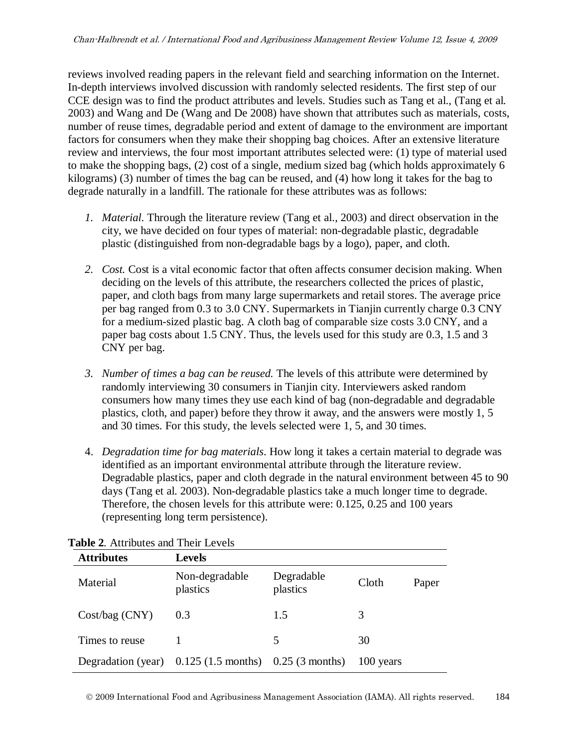reviews involved reading papers in the relevant field and searching information on the Internet. In-depth interviews involved discussion with randomly selected residents. The first step of our CCE design was to find the product attributes and levels. Studies such as Tang et al., (Tang et al. 2003) and Wang and De (Wang and De 2008) have shown that attributes such as materials, costs, number of reuse times, degradable period and extent of damage to the environment are important factors for consumers when they make their shopping bag choices. After an extensive literature review and interviews, the four most important attributes selected were: (1) type of material used to make the shopping bags, (2) cost of a single, medium sized bag (which holds approximately 6 kilograms) (3) number of times the bag can be reused, and (4) how long it takes for the bag to degrade naturally in a landfill. The rationale for these attributes was as follows:

- *1. Material.* Through the literature review (Tang et al., 2003) and direct observation in the city, we have decided on four types of material: non-degradable plastic, degradable plastic (distinguished from non-degradable bags by a logo), paper, and cloth.
- *2. Cost.* Cost is a vital economic factor that often affects consumer decision making. When deciding on the levels of this attribute, the researchers collected the prices of plastic, paper, and cloth bags from many large supermarkets and retail stores. The average price per bag ranged from 0.3 to 3.0 CNY. Supermarkets in Tianjin currently charge 0.3 CNY for a medium-sized plastic bag. A cloth bag of comparable size costs 3.0 CNY, and a paper bag costs about 1.5 CNY. Thus, the levels used for this study are 0.3, 1.5 and 3 CNY per bag.
- *3. Number of times a bag can be reused.* The levels of this attribute were determined by randomly interviewing 30 consumers in Tianjin city. Interviewers asked random consumers how many times they use each kind of bag (non-degradable and degradable plastics, cloth, and paper) before they throw it away, and the answers were mostly 1, 5 and 30 times. For this study, the levels selected were 1, 5, and 30 times.
- 4. *Degradation time for bag materials*. How long it takes a certain material to degrade was identified as an important environmental attribute through the literature review. Degradable plastics, paper and cloth degrade in the natural environment between 45 to 90 days (Tang et al. 2003). Non-degradable plastics take a much longer time to degrade. Therefore, the chosen levels for this attribute were: 0.125, 0.25 and 100 years (representing long term persistence).

| <b>Attributes</b>  | <b>Levels</b>               |                        |           |       |
|--------------------|-----------------------------|------------------------|-----------|-------|
| Material           | Non-degradable<br>plastics  | Degradable<br>plastics | Cloth     | Paper |
| $Cost/bag$ (CNY)   | 0.3                         | 1.5                    | 3         |       |
| Times to reuse     |                             | 5                      | 30        |       |
| Degradation (year) | $0.125(1.5 \text{ months})$ | $0.25$ (3 months)      | 100 years |       |

|--|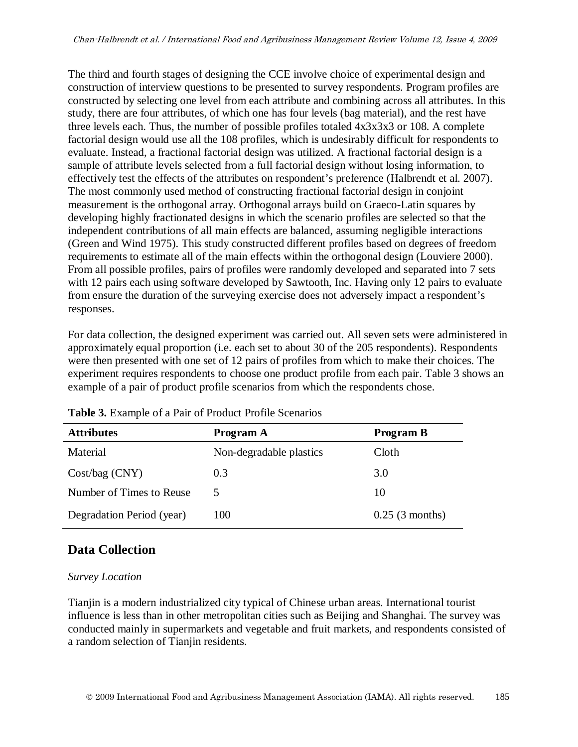The third and fourth stages of designing the CCE involve choice of experimental design and construction of interview questions to be presented to survey respondents. Program profiles are constructed by selecting one level from each attribute and combining across all attributes. In this study, there are four attributes, of which one has four levels (bag material), and the rest have three levels each. Thus, the number of possible profiles totaled 4x3x3x3 or 108. A complete factorial design would use all the 108 profiles, which is undesirably difficult for respondents to evaluate. Instead, a fractional factorial design was utilized. A fractional factorial design is a sample of attribute levels selected from a full factorial design without losing information, to effectively test the effects of the attributes on respondent's preference (Halbrendt et al. 2007). The most commonly used method of constructing fractional factorial design in conjoint measurement is the orthogonal array. Orthogonal arrays build on Graeco-Latin squares by developing highly fractionated designs in which the scenario profiles are selected so that the independent contributions of all main effects are balanced, assuming negligible interactions (Green and Wind 1975). This study constructed different profiles based on degrees of freedom requirements to estimate all of the main effects within the orthogonal design (Louviere 2000). From all possible profiles, pairs of profiles were randomly developed and separated into 7 sets with 12 pairs each using software developed by Sawtooth, Inc. Having only 12 pairs to evaluate from ensure the duration of the surveying exercise does not adversely impact a respondent's responses.

For data collection, the designed experiment was carried out. All seven sets were administered in approximately equal proportion (i.e. each set to about 30 of the 205 respondents). Respondents were then presented with one set of 12 pairs of profiles from which to make their choices. The experiment requires respondents to choose one product profile from each pair. Table 3 shows an example of a pair of product profile scenarios from which the respondents chose.

| <b>Attributes</b>         | Program A               | <b>Program B</b>  |
|---------------------------|-------------------------|-------------------|
| Material                  | Non-degradable plastics | Cloth             |
| $Cost/bag$ (CNY)          | 0.3                     | 3.0               |
| Number of Times to Reuse  |                         | 10                |
| Degradation Period (year) | 100                     | $0.25$ (3 months) |

**Table 3.** Example of a Pair of Product Profile Scenarios

## **Data Collection**

### *Survey Location*

Tianjin is a modern industrialized city typical of Chinese urban areas. International tourist influence is less than in other metropolitan cities such as Beijing and Shanghai. The survey was conducted mainly in supermarkets and vegetable and fruit markets, and respondents consisted of a random selection of Tianjin residents.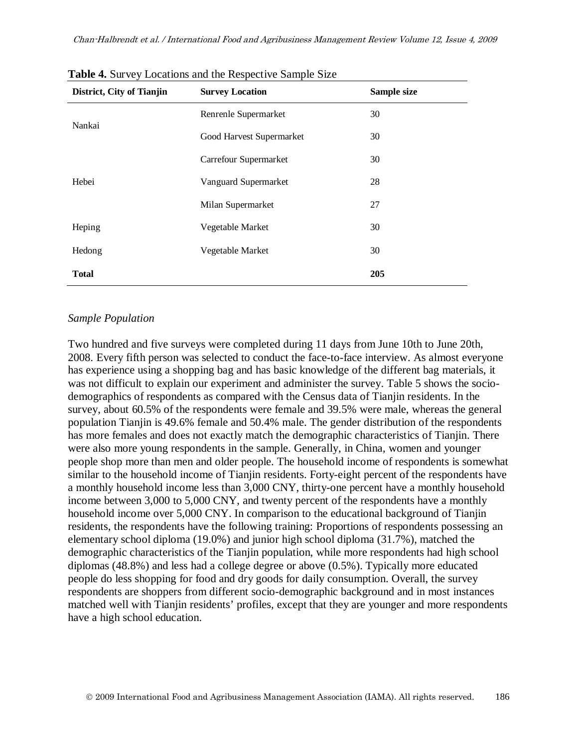| District, City of Tianjin | <b>Survey Location</b>   | Sample size |
|---------------------------|--------------------------|-------------|
|                           | Renrenle Supermarket     | 30          |
| Nankai                    | Good Harvest Supermarket | 30          |
|                           | Carrefour Supermarket    | 30          |
| Hebei                     | Vanguard Supermarket     | 28          |
|                           | Milan Supermarket        | 27          |
| Heping                    | Vegetable Market         | 30          |
| Hedong                    | Vegetable Market         | 30          |
| <b>Total</b>              |                          | 205         |

**Table 4.** Survey Locations and the Respective Sample Size

#### *Sample Population*

Two hundred and five surveys were completed during 11 days from June 10th to June 20th, 2008. Every fifth person was selected to conduct the face-to-face interview. As almost everyone has experience using a shopping bag and has basic knowledge of the different bag materials, it was not difficult to explain our experiment and administer the survey. Table 5 shows the sociodemographics of respondents as compared with the Census data of Tianjin residents. In the survey, about 60.5% of the respondents were female and 39.5% were male, whereas the general population Tianjin is 49.6% female and 50.4% male. The gender distribution of the respondents has more females and does not exactly match the demographic characteristics of Tianjin. There were also more young respondents in the sample. Generally, in China, women and younger people shop more than men and older people. The household income of respondents is somewhat similar to the household income of Tianjin residents. Forty-eight percent of the respondents have a monthly household income less than 3,000 CNY, thirty-one percent have a monthly household income between 3,000 to 5,000 CNY, and twenty percent of the respondents have a monthly household income over 5,000 CNY. In comparison to the educational background of Tianjin residents, the respondents have the following training: Proportions of respondents possessing an elementary school diploma (19.0%) and junior high school diploma (31.7%), matched the demographic characteristics of the Tianjin population, while more respondents had high school diplomas (48.8%) and less had a college degree or above (0.5%). Typically more educated people do less shopping for food and dry goods for daily consumption. Overall, the survey respondents are shoppers from different socio-demographic background and in most instances matched well with Tianjin residents' profiles, except that they are younger and more respondents have a high school education.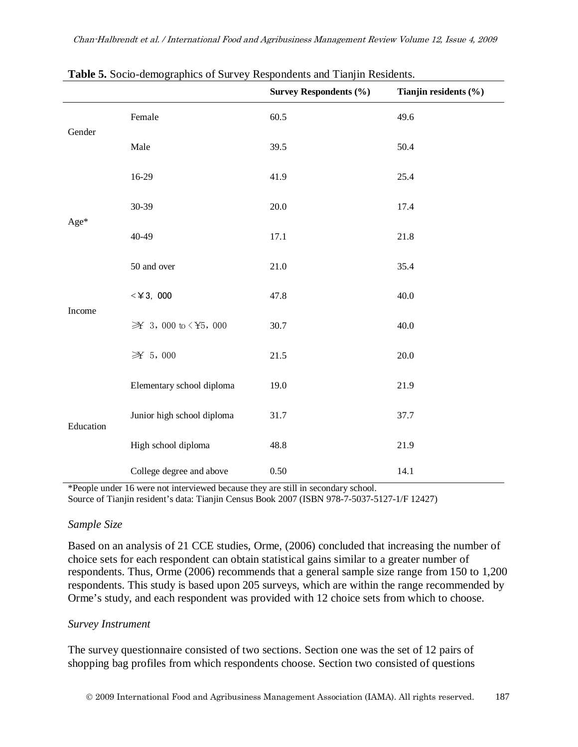|              |                            | <b>Survey Respondents (%)</b> | Tianjin residents (%) |
|--------------|----------------------------|-------------------------------|-----------------------|
| Gender       | Female                     | 60.5                          | 49.6                  |
|              | Male                       | 39.5                          | 50.4                  |
|              | 16-29                      | 41.9                          | 25.4                  |
|              | 30-39                      | $20.0\,$                      | 17.4                  |
| $\rm{Age^*}$ | 40-49                      | 17.1                          | 21.8                  |
|              | 50 and over                | 21.0                          | 35.4                  |
| Income       | $\lt \not\leq 3$ , 000     | 47.8                          | 40.0                  |
|              | ≥¥ 3,000 to < ¥5,000       | 30.7                          | 40.0                  |
|              | ¥ 5,000                    | 21.5                          | 20.0                  |
|              | Elementary school diploma  | 19.0                          | 21.9                  |
| Education    | Junior high school diploma | 31.7                          | 37.7                  |
|              | High school diploma        | 48.8                          | 21.9                  |
|              | College degree and above   | 0.50                          | 14.1                  |

|  |  |  | Table 5. Socio-demographics of Survey Respondents and Tianjin Residents. |
|--|--|--|--------------------------------------------------------------------------|
|  |  |  |                                                                          |

\*People under 16 were not interviewed because they are still in secondary school.

Source of Tianjin resident's data: Tianjin Census Book 2007 (ISBN 978-7-5037-5127-1/F 12427)

#### *Sample Size*

Based on an analysis of 21 CCE studies, Orme, (2006) concluded that increasing the number of choice sets for each respondent can obtain statistical gains similar to a greater number of respondents. Thus, Orme (2006) recommends that a general sample size range from 150 to 1,200 respondents. This study is based upon 205 surveys, which are within the range recommended by Orme's study, and each respondent was provided with 12 choice sets from which to choose.

### *Survey Instrument*

The survey questionnaire consisted of two sections. Section one was the set of 12 pairs of shopping bag profiles from which respondents choose. Section two consisted of questions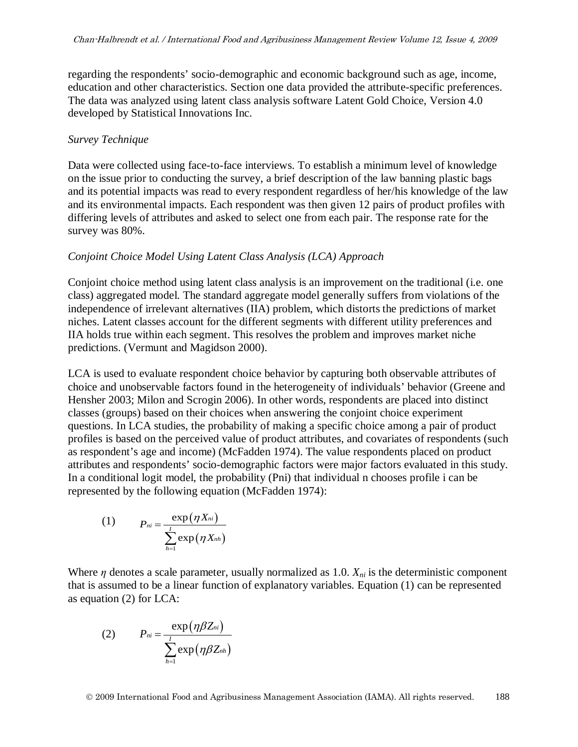regarding the respondents' socio-demographic and economic background such as age, income, education and other characteristics. Section one data provided the attribute-specific preferences. The data was analyzed using latent class analysis software Latent Gold Choice, Version 4.0 developed by Statistical Innovations Inc.

### *Survey Technique*

Data were collected using face-to-face interviews. To establish a minimum level of knowledge on the issue prior to conducting the survey, a brief description of the law banning plastic bags and its potential impacts was read to every respondent regardless of her/his knowledge of the law and its environmental impacts. Each respondent was then given 12 pairs of product profiles with differing levels of attributes and asked to select one from each pair. The response rate for the survey was 80%.

### *Conjoint Choice Model Using Latent Class Analysis (LCA) Approach*

Conjoint choice method using latent class analysis is an improvement on the traditional (i.e. one class) aggregated model. The standard aggregate model generally suffers from violations of the independence of irrelevant alternatives (IIA) problem, which distorts the predictions of market niches. Latent classes account for the different segments with different utility preferences and IIA holds true within each segment. This resolves the problem and improves market niche predictions. (Vermunt and Magidson 2000).

LCA is used to evaluate respondent choice behavior by capturing both observable attributes of choice and unobservable factors found in the heterogeneity of individuals' behavior (Greene and Hensher 2003; Milon and Scrogin 2006). In other words, respondents are placed into distinct classes (groups) based on their choices when answering the conjoint choice experiment questions. In LCA studies, the probability of making a specific choice among a pair of product profiles is based on the perceived value of product attributes, and covariates of respondents (such as respondent's age and income) (McFadden 1974). The value respondents placed on product attributes and respondents' socio-demographic factors were major factors evaluated in this study. In a conditional logit model, the probability (Pni) that individual n chooses profile i can be represented by the following equation (McFadden 1974):

(1) 
$$
P_{ni} = \frac{\exp(\eta X_{ni})}{\sum_{h=1}^{I} \exp(\eta X_{nh})}
$$

Where  $\eta$  denotes a scale parameter, usually normalized as 1.0.  $X_{ni}$  is the deterministic component that is assumed to be a linear function of explanatory variables. Equation (1) can be represented as equation (2) for LCA:

(2) 
$$
P_{ni} = \frac{\exp(\eta \beta Z_{ni})}{\sum_{h=1}^{I} \exp(\eta \beta Z_{nh})}
$$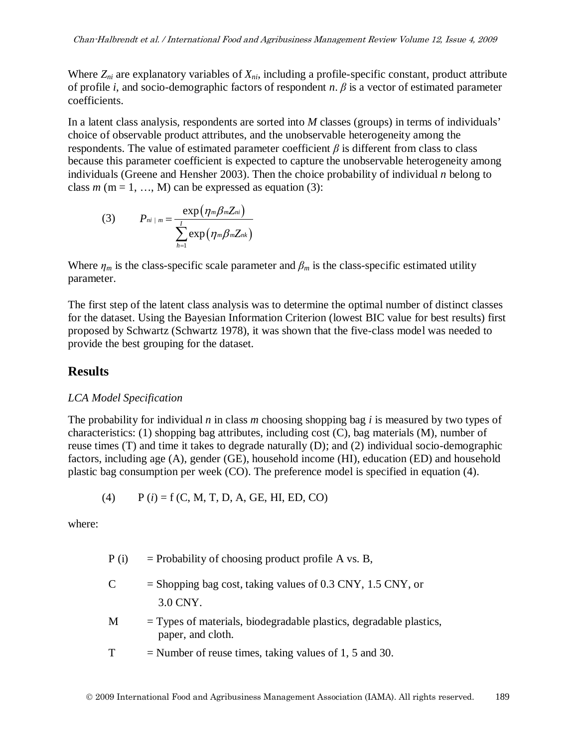Where  $Z_{ni}$  are explanatory variables of  $X_{ni}$ , including a profile-specific constant, product attribute of profile *i*, and socio-demographic factors of respondent *n*. *β* is a vector of estimated parameter coefficients.

In a latent class analysis, respondents are sorted into *M* classes (groups) in terms of individuals' choice of observable product attributes, and the unobservable heterogeneity among the respondents. The value of estimated parameter coefficient  $\beta$  is different from class to class because this parameter coefficient is expected to capture the unobservable heterogeneity among individuals (Greene and Hensher 2003). Then the choice probability of individual *n* belong to class  $m$  (m = 1, …, M) can be expressed as equation (3):

$$
(3) \qquad P_{ni+m} = \frac{\exp \left(\eta_m \beta_m Z_{ni}\right)}{\sum_{h=1}^{I} \exp \left(\eta_m \beta_m Z_{nk}\right)}
$$

Where  $\eta_m$  is the class-specific scale parameter and  $\beta_m$  is the class-specific estimated utility parameter.

The first step of the latent class analysis was to determine the optimal number of distinct classes for the dataset. Using the Bayesian Information Criterion (lowest BIC value for best results) first proposed by Schwartz (Schwartz 1978), it was shown that the five-class model was needed to provide the best grouping for the dataset.

#### **Results**

#### *LCA Model Specification*

The probability for individual *n* in class *m* choosing shopping bag *i* is measured by two types of characteristics: (1) shopping bag attributes, including cost (C), bag materials (M), number of reuse times (T) and time it takes to degrade naturally (D); and (2) individual socio-demographic factors, including age (A), gender (GE), household income (HI), education (ED) and household plastic bag consumption per week (CO). The preference model is specified in equation (4).

(4) 
$$
P(i) = f(C, M, T, D, A, GE, HI, ED, CO)
$$

where:

| P(i) | $=$ Probability of choosing product profile A vs. B, |  |  |
|------|------------------------------------------------------|--|--|
|      |                                                      |  |  |

- $C =$  Shopping bag cost, taking values of 0.3 CNY, 1.5 CNY, or 3.0 CNY.
- $M = T$ ypes of materials, biodegradable plastics, degradable plastics, paper, and cloth.
- $T =$  Number of reuse times, taking values of 1, 5 and 30.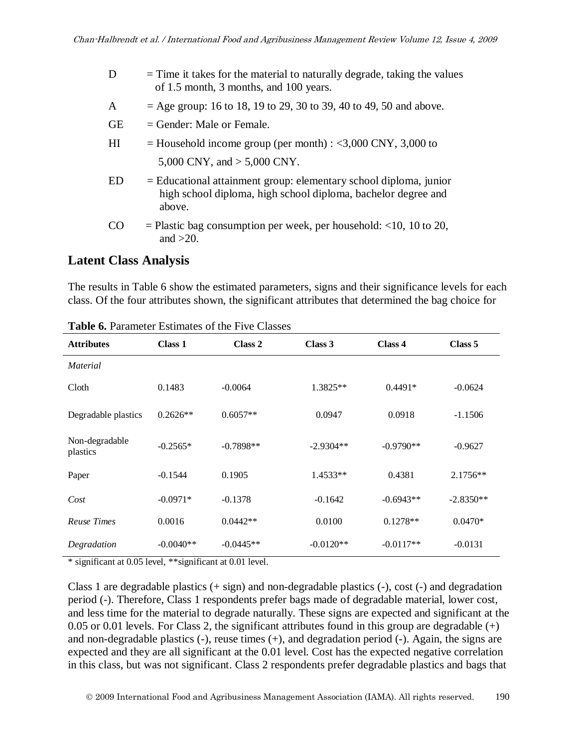| D         | $=$ Time it takes for the material to naturally degrade, taking the values<br>of 1.5 month, 3 months, and 100 years.                           |
|-----------|------------------------------------------------------------------------------------------------------------------------------------------------|
| A         | $=$ Age group: 16 to 18, 19 to 29, 30 to 39, 40 to 49, 50 and above.                                                                           |
| <b>GE</b> | $=$ Gender: Male or Female.                                                                                                                    |
| HI        | $=$ Household income group (per month) : <3,000 CNY, 3,000 to                                                                                  |
|           | 5,000 CNY, and $> 5,000$ CNY.                                                                                                                  |
| ED        | $=$ Educational attainment group: elementary school diploma, junior<br>high school diploma, high school diploma, bachelor degree and<br>above. |
|           | = Plastic bag consumption per week, per household: $\langle 10, 10 \rangle$ to 20,                                                             |

### **Latent Class Analysis**

The results in Table 6 show the estimated parameters, signs and their significance levels for each class. Of the four attributes shown, the significant attributes that determined the bag choice for

| <b>Attributes</b>          | Class 1     | Class 2     | Class 3     | Class 4     | Class 5     |
|----------------------------|-------------|-------------|-------------|-------------|-------------|
| Material                   |             |             |             |             |             |
| Cloth                      | 0.1483      | $-0.0064$   | 1.3825**    | $0.4491*$   | $-0.0624$   |
| Degradable plastics        | $0.2626**$  | $0.6057**$  | 0.0947      | 0.0918      | $-1.1506$   |
| Non-degradable<br>plastics | $-0.2565*$  | $-0.7898**$ | $-2.9304**$ | $-0.9790**$ | $-0.9627$   |
| Paper                      | $-0.1544$   | 0.1905      | $1.4533**$  | 0.4381      | $2.1756**$  |
| Cost                       | $-0.0971*$  | $-0.1378$   | $-0.1642$   | $-0.6943**$ | $-2.8350**$ |
| <b>Reuse Times</b>         | 0.0016      | $0.0442**$  | 0.0100      | $0.1278**$  | $0.0470*$   |
| Degradation                | $-0.0040**$ | $-0.0445**$ | $-0.0120**$ | $-0.0117**$ | $-0.0131$   |

**Table 6.** Parameter Estimates of the Five Classes

and  $>20$ .

\* significant at 0.05 level, \*\*significant at 0.01 level.

Class 1 are degradable plastics  $(+ sign)$  and non-degradable plastics  $(-)$ , cost  $(-)$  and degradation period (-). Therefore, Class 1 respondents prefer bags made of degradable material, lower cost, and less time for the material to degrade naturally. These signs are expected and significant at the 0.05 or 0.01 levels. For Class 2, the significant attributes found in this group are degradable  $(+)$ and non-degradable plastics (-), reuse times (+), and degradation period (-). Again, the signs are expected and they are all significant at the 0.01 level. Cost has the expected negative correlation in this class, but was not significant. Class 2 respondents prefer degradable plastics and bags that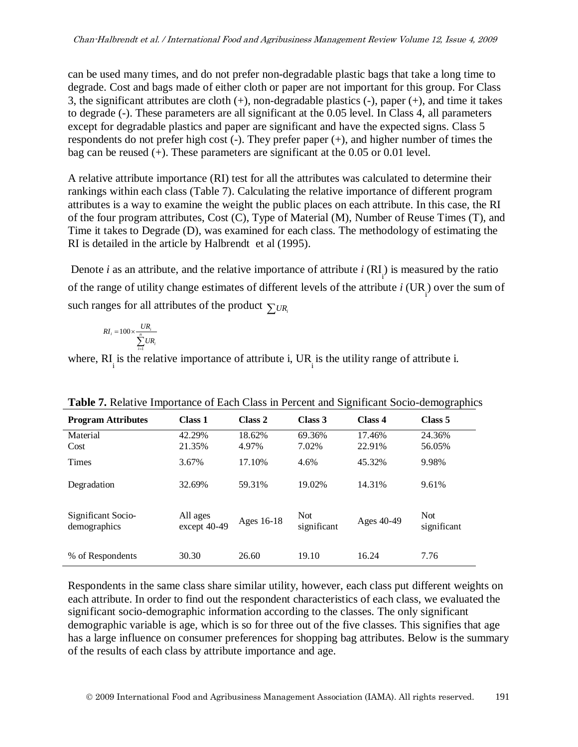can be used many times, and do not prefer non-degradable plastic bags that take a long time to degrade. Cost and bags made of either cloth or paper are not important for this group. For Class 3, the significant attributes are cloth (+), non-degradable plastics (-), paper (+), and time it takes to degrade (-). These parameters are all significant at the 0.05 level. In Class 4, all parameters except for degradable plastics and paper are significant and have the expected signs. Class 5 respondents do not prefer high cost (-). They prefer paper (+), and higher number of times the bag can be reused (+). These parameters are significant at the 0.05 or 0.01 level.

A relative attribute importance (RI) test for all the attributes was calculated to determine their rankings within each class (Table 7). Calculating the relative importance of different program attributes is a way to examine the weight the public places on each attribute. In this case, the RI of the four program attributes, Cost (C), Type of Material (M), Number of Reuse Times (T), and Time it takes to Degrade (D), was examined for each class. The methodology of estimating the RI is detailed in the article by Halbrendt et al (1995).

Denote *i* as an attribute, and the relative importance of attribute  $i$  ( $\text{RI}_{i}$ ) is measured by the ratio of the range of utility change estimates of different levels of the attribute  $i$  (UR<sub>1</sub>) over the sum of such ranges for all attributes of the product  $\sum_{n} U_{R}$ 

$$
RI_i = 100 \times \frac{UR_i}{\sum_{i=1}^{n}UR_i}
$$

where,  $\mathbf{R} \mathbf{I}_i$  is the relative importance of attribute i,  $\mathbf{U} \mathbf{R}_i$  is the utility range of attribute i.

| <b>Program Attributes</b>          | <b>Class 1</b>           | Class 2         | Class 3                   | Class 4          | Class 5                   |
|------------------------------------|--------------------------|-----------------|---------------------------|------------------|---------------------------|
| Material<br>Cost                   | 42.29%<br>21.35%         | 18.62%<br>4.97% | 69.36%<br>7.02%           | 17.46%<br>22.91% | 24.36%<br>56.05%          |
| <b>Times</b>                       | 3.67%                    | 17.10%          | 4.6%                      | 45.32%           | 9.98%                     |
| Degradation                        | 32.69%                   | 59.31%          | 19.02%                    | 14.31%           | 9.61%                     |
| Significant Socio-<br>demographics | All ages<br>except 40-49 | Ages 16-18      | <b>Not</b><br>significant | Ages 40-49       | <b>Not</b><br>significant |
| % of Respondents                   | 30.30                    | 26.60           | 19.10                     | 16.24            | 7.76                      |

**Table 7.** Relative Importance of Each Class in Percent and Significant Socio-demographics

Respondents in the same class share similar utility, however, each class put different weights on each attribute. In order to find out the respondent characteristics of each class, we evaluated the significant socio-demographic information according to the classes. The only significant demographic variable is age, which is so for three out of the five classes. This signifies that age has a large influence on consumer preferences for shopping bag attributes. Below is the summary of the results of each class by attribute importance and age.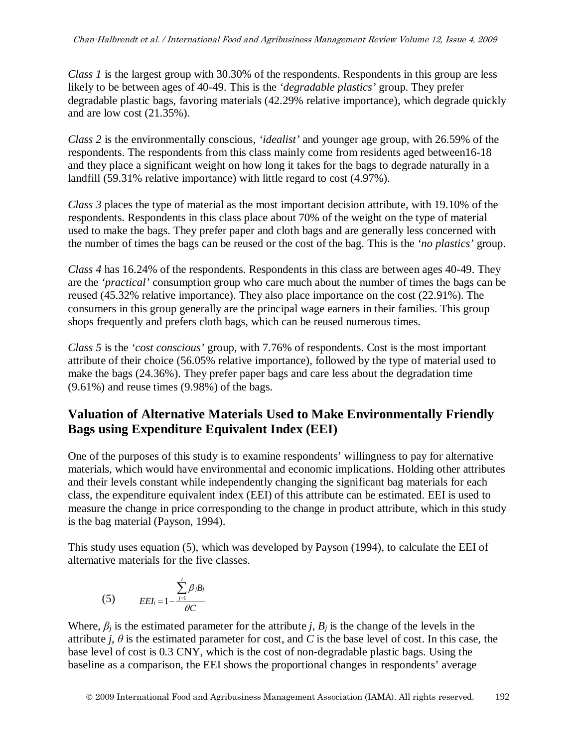*Class 1* is the largest group with 30.30% of the respondents. Respondents in this group are less likely to be between ages of 40-49. This is the *'degradable plastics'* group. They prefer degradable plastic bags, favoring materials (42.29% relative importance), which degrade quickly and are low cost (21.35%).

*Class 2* is the environmentally conscious, *'idealist'* and younger age group, with 26.59% of the respondents. The respondents from this class mainly come from residents aged between16-18 and they place a significant weight on how long it takes for the bags to degrade naturally in a landfill (59.31% relative importance) with little regard to cost (4.97%).

*Class 3* places the type of material as the most important decision attribute, with 19.10% of the respondents. Respondents in this class place about 70% of the weight on the type of material used to make the bags. They prefer paper and cloth bags and are generally less concerned with the number of times the bags can be reused or the cost of the bag. This is the *'no plastics'* group.

*Class 4* has 16.24% of the respondents. Respondents in this class are between ages 40-49. They are the *'practical'* consumption group who care much about the number of times the bags can be reused (45.32% relative importance). They also place importance on the cost (22.91%). The consumers in this group generally are the principal wage earners in their families. This group shops frequently and prefers cloth bags, which can be reused numerous times.

*Class 5* is the *'cost conscious'* group, with 7.76% of respondents. Cost is the most important attribute of their choice (56.05% relative importance), followed by the type of material used to make the bags (24.36%). They prefer paper bags and care less about the degradation time  $(9.61\%)$  and reuse times  $(9.98\%)$  of the bags.

## **Valuation of Alternative Materials Used to Make Environmentally Friendly Bags using Expenditure Equivalent Index (EEI)**

One of the purposes of this study is to examine respondents' willingness to pay for alternative materials, which would have environmental and economic implications. Holding other attributes and their levels constant while independently changing the significant bag materials for each class, the expenditure equivalent index (EEI) of this attribute can be estimated. EEI is used to measure the change in price corresponding to the change in product attribute, which in this study is the bag material (Payson, 1994).

This study uses equation (5), which was developed by Payson (1994), to calculate the EEI of alternative materials for the five classes.

(5) 
$$
E E I_j = 1 - \frac{\sum_{j=1}^J \beta_j B_j}{\theta C}
$$

Where,  $\beta_i$  is the estimated parameter for the attribute *j*,  $B_i$  is the change of the levels in the attribute *j*,  $\theta$  is the estimated parameter for cost, and *C* is the base level of cost. In this case, the base level of cost is 0.3 CNY, which is the cost of non-degradable plastic bags. Using the baseline as a comparison, the EEI shows the proportional changes in respondents' average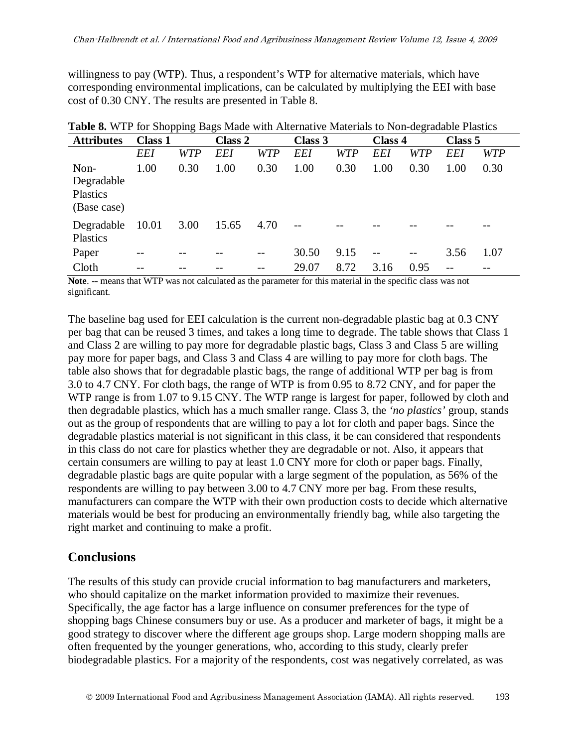willingness to pay (WTP). Thus, a respondent's WTP for alternative materials, which have corresponding environmental implications, can be calculated by multiplying the EEI with base cost of 0.30 CNY. The results are presented in Table 8.

| <b>Attributes</b>                             | ---<br><b>Class 1</b> |            | -- 0<br>Class 2 |            | Class 3 |            | - 0- -<br><b>Class 4</b> |            | Class 5    |            |
|-----------------------------------------------|-----------------------|------------|-----------------|------------|---------|------------|--------------------------|------------|------------|------------|
|                                               | <b>EEI</b>            | <b>WTP</b> | EEI             | <b>WTP</b> | EEI     | <b>WTP</b> | EEI                      | <b>WTP</b> | <b>EEI</b> | <b>WTP</b> |
| Non-<br>Degradable<br>Plastics<br>(Base case) | 1.00                  | 0.30       | 1.00            | 0.30       | 1.00    | 0.30       | 1.00                     | 0.30       | 1.00       | 0.30       |
| Degradable<br>Plastics                        | 10.01                 | 3.00       | 15.65           | 4.70       |         |            |                          |            |            |            |
| Paper                                         |                       |            |                 |            | 30.50   | 9.15       |                          | $- -$      | 3.56       | 1.07       |
| Cloth                                         |                       |            |                 |            | 29.07   | 8.72       | 3.16                     | 0.95       |            |            |

**Table 8.** WTP for Shopping Bags Made with Alternative Materials to Non-degradable Plastics

**Note**. -- means that WTP was not calculated as the parameter for this material in the specific class was not significant.

The baseline bag used for EEI calculation is the current non-degradable plastic bag at 0.3 CNY per bag that can be reused 3 times, and takes a long time to degrade. The table shows that Class 1 and Class 2 are willing to pay more for degradable plastic bags, Class 3 and Class 5 are willing pay more for paper bags, and Class 3 and Class 4 are willing to pay more for cloth bags. The table also shows that for degradable plastic bags, the range of additional WTP per bag is from 3.0 to 4.7 CNY. For cloth bags, the range of WTP is from 0.95 to 8.72 CNY, and for paper the WTP range is from 1.07 to 9.15 CNY. The WTP range is largest for paper, followed by cloth and then degradable plastics, which has a much smaller range. Class 3, the *'no plastics'* group, stands out as the group of respondents that are willing to pay a lot for cloth and paper bags. Since the degradable plastics material is not significant in this class, it be can considered that respondents in this class do not care for plastics whether they are degradable or not. Also, it appears that certain consumers are willing to pay at least 1.0 CNY more for cloth or paper bags. Finally, degradable plastic bags are quite popular with a large segment of the population, as 56% of the respondents are willing to pay between 3.00 to 4.7 CNY more per bag. From these results, manufacturers can compare the WTP with their own production costs to decide which alternative materials would be best for producing an environmentally friendly bag, while also targeting the right market and continuing to make a profit.

## **Conclusions**

The results of this study can provide crucial information to bag manufacturers and marketers, who should capitalize on the market information provided to maximize their revenues. Specifically, the age factor has a large influence on consumer preferences for the type of shopping bags Chinese consumers buy or use. As a producer and marketer of bags, it might be a good strategy to discover where the different age groups shop. Large modern shopping malls are often frequented by the younger generations, who, according to this study, clearly prefer biodegradable plastics. For a majority of the respondents, cost was negatively correlated, as was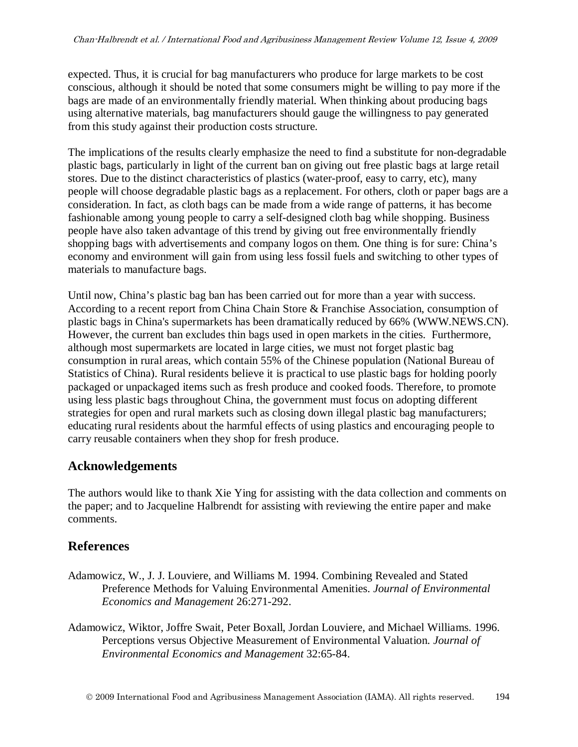expected. Thus, it is crucial for bag manufacturers who produce for large markets to be cost conscious, although it should be noted that some consumers might be willing to pay more if the bags are made of an environmentally friendly material. When thinking about producing bags using alternative materials, bag manufacturers should gauge the willingness to pay generated from this study against their production costs structure.

The implications of the results clearly emphasize the need to find a substitute for non-degradable plastic bags, particularly in light of the current ban on giving out free plastic bags at large retail stores. Due to the distinct characteristics of plastics (water-proof, easy to carry, etc), many people will choose degradable plastic bags as a replacement. For others, cloth or paper bags are a consideration. In fact, as cloth bags can be made from a wide range of patterns, it has become fashionable among young people to carry a self-designed cloth bag while shopping. Business people have also taken advantage of this trend by giving out free environmentally friendly shopping bags with advertisements and company logos on them. One thing is for sure: China's economy and environment will gain from using less fossil fuels and switching to other types of materials to manufacture bags.

Until now, China's plastic bag ban has been carried out for more than a year with success. According to a recent report from China Chain Store & Franchise Association, consumption of plastic bags in China's supermarkets has been dramatically reduced by 66% (WWW.NEWS.CN). However, the current ban excludes thin bags used in open markets in the cities. Furthermore, although most supermarkets are located in large cities, we must not forget plastic bag consumption in rural areas, which contain 55% of the Chinese population (National Bureau of Statistics of China). Rural residents believe it is practical to use plastic bags for holding poorly packaged or unpackaged items such as fresh produce and cooked foods. Therefore, to promote using less plastic bags throughout China, the government must focus on adopting different strategies for open and rural markets such as closing down illegal plastic bag manufacturers; educating rural residents about the harmful effects of using plastics and encouraging people to carry reusable containers when they shop for fresh produce.

## **Acknowledgements**

The authors would like to thank Xie Ying for assisting with the data collection and comments on the paper; and to Jacqueline Halbrendt for assisting with reviewing the entire paper and make comments.

## **References**

- Adamowicz, W., J. J. Louviere, and Williams M. 1994. Combining Revealed and Stated Preference Methods for Valuing Environmental Amenities. *Journal of Environmental Economics and Management* 26:271-292.
- Adamowicz, Wiktor, Joffre Swait, Peter Boxall, Jordan Louviere, and Michael Williams. 1996. Perceptions versus Objective Measurement of Environmental Valuation. *Journal of Environmental Economics and Management* 32:65-84.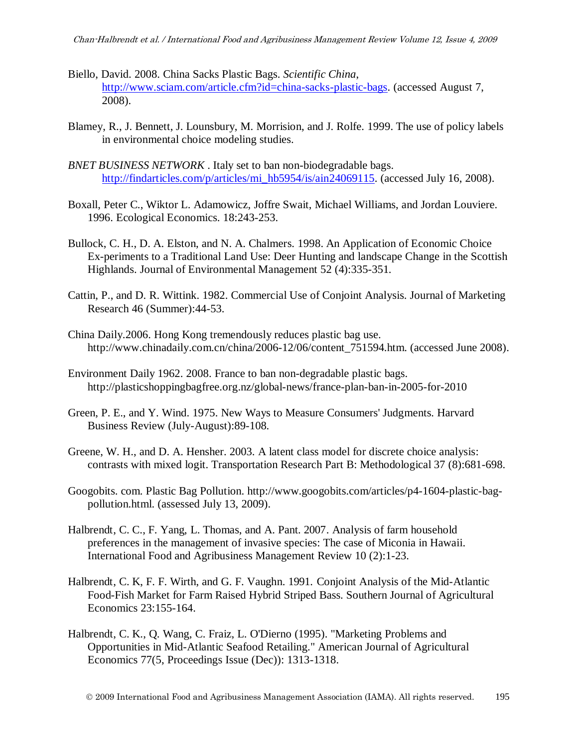- Biello, David. 2008. China Sacks Plastic Bags. *Scientific China*, [http://www.sciam.com/article.cfm?id=china-sacks-plastic-bags.](http://www.sciam.com/article.cfm?id=china-sacks-plastic-bags) (accessed August 7, 2008).
- Blamey, R., J. Bennett, J. Lounsbury, M. Morrision, and J. Rolfe. 1999. The use of policy labels in environmental choice modeling studies.
- *BNET BUSINESS NETWORK* . Italy set to ban non-biodegradable bags. [http://findarticles.com/p/articles/mi\\_hb5954/is/ain24069115.](http://findarticles.com/p/articles/mi_hb5954/is/ain24069115) (accessed July 16, 2008).
- Boxall, Peter C., Wiktor L. Adamowicz, Joffre Swait, Michael Williams, and Jordan Louviere. 1996. Ecological Economics. 18:243-253.
- Bullock, C. H., D. A. Elston, and N. A. Chalmers. 1998. An Application of Economic Choice Ex-periments to a Traditional Land Use: Deer Hunting and landscape Change in the Scottish Highlands. Journal of Environmental Management 52 (4):335-351.
- Cattin, P., and D. R. Wittink. 1982. Commercial Use of Conjoint Analysis. Journal of Marketing Research 46 (Summer):44-53.
- China Daily.2006. Hong Kong tremendously reduces plastic bag use. http://www.chinadaily.com.cn/china/2006-12/06/content\_751594.htm. (accessed June 2008).
- Environment Daily 1962. 2008. France to ban non-degradable plastic bags. http://plasticshoppingbagfree.org.nz/global-news/france-plan-ban-in-2005-for-2010
- Green, P. E., and Y. Wind. 1975. New Ways to Measure Consumers' Judgments. Harvard Business Review (July-August):89-108.
- Greene, W. H., and D. A. Hensher. 2003. A latent class model for discrete choice analysis: contrasts with mixed logit. Transportation Research Part B: Methodological 37 (8):681-698.
- Googobits. com. Plastic Bag Pollution. http://www.googobits.com/articles/p4-1604-plastic-bagpollution.html. (assessed July 13, 2009).
- Halbrendt, C. C., F. Yang, L. Thomas, and A. Pant. 2007. Analysis of farm household preferences in the management of invasive species: The case of Miconia in Hawaii. International Food and Agribusiness Management Review 10 (2):1-23.
- Halbrendt, C. K, F. F. Wirth, and G. F. Vaughn. 1991. Conjoint Analysis of the Mid-Atlantic Food-Fish Market for Farm Raised Hybrid Striped Bass. Southern Journal of Agricultural Economics 23:155-164.
- Halbrendt, C. K., Q. Wang, C. Fraiz, L. O'Dierno (1995). "Marketing Problems and Opportunities in Mid-Atlantic Seafood Retailing." American Journal of Agricultural Economics 77(5, Proceedings Issue (Dec)): 1313-1318.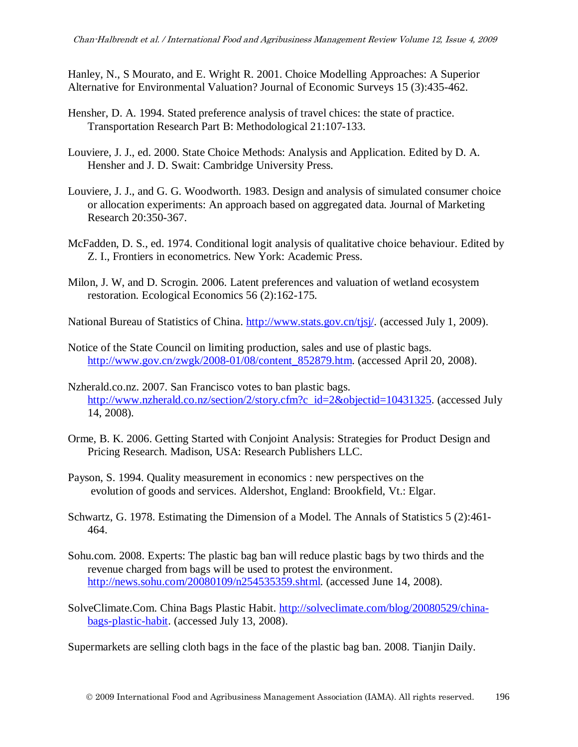Hanley, N., S Mourato, and E. Wright R. 2001. Choice Modelling Approaches: A Superior Alternative for Environmental Valuation? Journal of Economic Surveys 15 (3):435-462.

- Hensher, D. A. 1994. Stated preference analysis of travel chices: the state of practice. Transportation Research Part B: Methodological 21:107-133.
- Louviere, J. J., ed. 2000. State Choice Methods: Analysis and Application. Edited by D. A. Hensher and J. D. Swait: Cambridge University Press.
- Louviere, J. J., and G. G. Woodworth. 1983. Design and analysis of simulated consumer choice or allocation experiments: An approach based on aggregated data. Journal of Marketing Research 20:350-367.
- McFadden, D. S., ed. 1974. Conditional logit analysis of qualitative choice behaviour. Edited by Z. I., Frontiers in econometrics. New York: Academic Press.
- Milon, J. W, and D. Scrogin. 2006. Latent preferences and valuation of wetland ecosystem restoration. Ecological Economics 56 (2):162-175.
- National Bureau of Statistics of China. [http://www.stats.gov.cn/tjsj/.](http://www.stats.gov.cn/tjsj/) (accessed July 1, 2009).
- Notice of the State Council on limiting production, sales and use of plastic bags. [http://www.gov.cn/zwgk/2008-01/08/content\\_852879.htm.](http://www.gov.cn/zwgk/2008-01/08/content_852879.htm) (accessed April 20, 2008).
- Nzherald.co.nz. 2007. San Francisco votes to ban plastic bags. [http://www.nzherald.co.nz/section/2/story.cfm?c\\_id=2&objectid=10431325.](http://www.nzherald.co.nz/section/2/story.cfm?c_id=2&objectid=10431325) (accessed July 14, 2008).
- Orme, B. K. 2006. Getting Started with Conjoint Analysis: Strategies for Product Design and Pricing Research. Madison, USA: Research Publishers LLC.
- Payson, S. 1994. Quality measurement in economics : new perspectives on the evolution of goods and services. Aldershot, England: Brookfield, Vt.: Elgar.
- Schwartz, G. 1978. Estimating the Dimension of a Model. The Annals of Statistics 5 (2):461- 464.
- Sohu.com. 2008. Experts: The plastic bag ban will reduce plastic bags by two thirds and the revenue charged from bags will be used to protest the environment. [http://news.sohu.com/20080109/n254535359.shtml.](http://news.sohu.com/20080109/n254535359.shtml) (accessed June 14, 2008).
- SolveClimate.Com. China Bags Plastic Habit. [http://solveclimate.com/blog/20080529/china](http://solveclimate.com/blog/20080529/china-bags-plastic-habit)[bags-plastic-habit.](http://solveclimate.com/blog/20080529/china-bags-plastic-habit) (accessed July 13, 2008).

Supermarkets are selling cloth bags in the face of the plastic bag ban. 2008. Tianjin Daily.